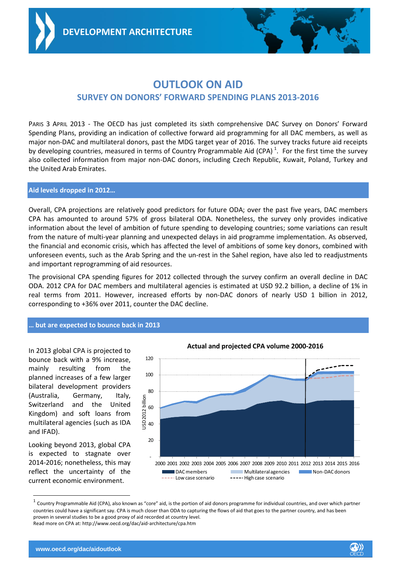**AID QUALITY AND ARCHITECTURE**



## **OUTLOOK ON AID SURVEY ON DONORS' FORWARD SPENDING PLANS 2013-2016**

PARIS 3 APRIL 2013 *-* The OECD has just completed its sixth comprehensive DAC Survey on Donors' Forward Spending Plans, providing an indication of collective forward aid programming for all DAC members, as well as major non-DAC and multilateral donors, past the MDG target year of 2016. The survey tracks future aid receipts by developing countries, measured in terms of Country Programmable Aid (CPA)<sup>1</sup>. For the first time the survey also collected information from major non-DAC donors, including Czech Republic, Kuwait, Poland, Turkey and the United Arab Emirates.

## **Aid levels dropped in 2012…**

Overall, CPA projections are relatively good predictors for future ODA; over the past five years, DAC members CPA has amounted to around 57% of gross bilateral ODA. Nonetheless, the survey only provides indicative information about the level of ambition of future spending to developing countries; some variations can result from the nature of multi-year planning and unexpected delays in aid programme implementation. As observed, the financial and economic crisis, which has affected the level of ambitions of some key donors, combined with unforeseen events, such as the Arab Spring and the un-rest in the Sahel region, have also led to readjustments and important reprogramming of aid resources.

The provisional CPA spending figures for 2012 collected through the survey confirm an overall decline in DAC ODA. 2012 CPA for DAC members and multilateral agencies is estimated at USD 92.2 billion, a decline of 1% in real terms from 2011. However, increased efforts by non-DAC donors of nearly USD 1 billion in 2012, corresponding to +36% over 2011, counter the DAC decline.

## **… but are expected to bounce back in 2013**

In 2013 global CPA is projected to bounce back with a 9% increase, mainly resulting from the planned increases of a few larger bilateral development providers (Australia, Germany, Italy, Switzerland and the United Kingdom) and soft loans from multilateral agencies (such as IDA and IFAD).

Looking beyond 2013, global CPA is expected to stagnate over 2014-2016; nonetheless, this may reflect the uncertainty of the current economic environment.

l



**Actual and projected CPA volume 2000-2016**

 $^1$  Country Programmable Aid (CPA), also known as "core" aid, is the portion of aid donors programme for individual countries, and over which partner countries could have a significant say. CPA is much closer than ODA to capturing the flows of aid that goes to the partner country, and has been proven in several studies to be a good proxy of aid recorded at country level. Read more on CPA at: http://www.oecd.org/dac/aid-architecture/cpa.htm